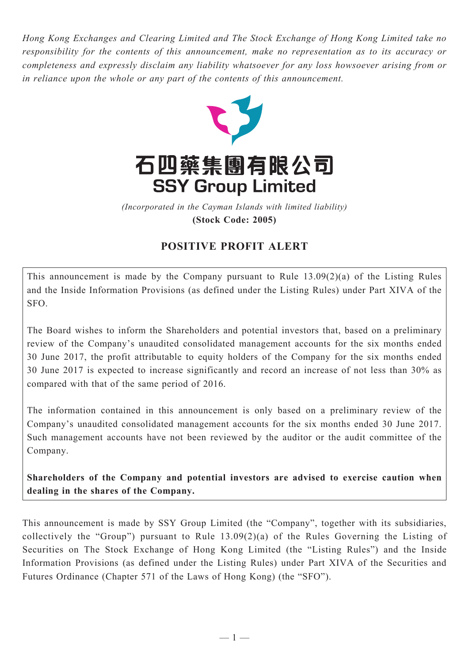*Hong Kong Exchanges and Clearing Limited and The Stock Exchange of Hong Kong Limited take no responsibility for the contents of this announcement, make no representation as to its accuracy or completeness and expressly disclaim any liability whatsoever for any loss howsoever arising from or in reliance upon the whole or any part of the contents of this announcement.*



(Incorporated in the Cayman Islands with limited liability) *(Incorporated in the Cayman Islands with limited liability)* **(Stock Code: 2005) (Stock Code: 2005)**

## **POSITIVE PROFIT ALERT**

This announcement is made by the Company pursuant to Rule 13.09(2)(a) of the Listing Rules and the Inside Information Provisions (as defined under the Listing Rules) under Part XIVA of the SFO.

The Board wishes to inform the Shareholders and potential investors that, based on a preliminary review of the Company's unaudited consolidated management accounts for the six months ended 30 June 2017, the profit attributable to equity holders of the Company for the six months ended 30 June 2017 is expected to increase significantly and record an increase of not less than 30% as compared with that of the same period of 2016.

The information contained in this announcement is only based on a preliminary review of the Company's unaudited consolidated management accounts for the six months ended 30 June 2017. Such management accounts have not been reviewed by the auditor or the audit committee of the Company.

**Shareholders of the Company and potential investors are advised to exercise caution when dealing in the shares of the Company.**

This announcement is made by SSY Group Limited (the "Company", together with its subsidiaries, collectively the "Group") pursuant to Rule 13.09(2)(a) of the Rules Governing the Listing of Securities on The Stock Exchange of Hong Kong Limited (the "Listing Rules") and the Inside Information Provisions (as defined under the Listing Rules) under Part XIVA of the Securities and Futures Ordinance (Chapter 571 of the Laws of Hong Kong) (the "SFO").